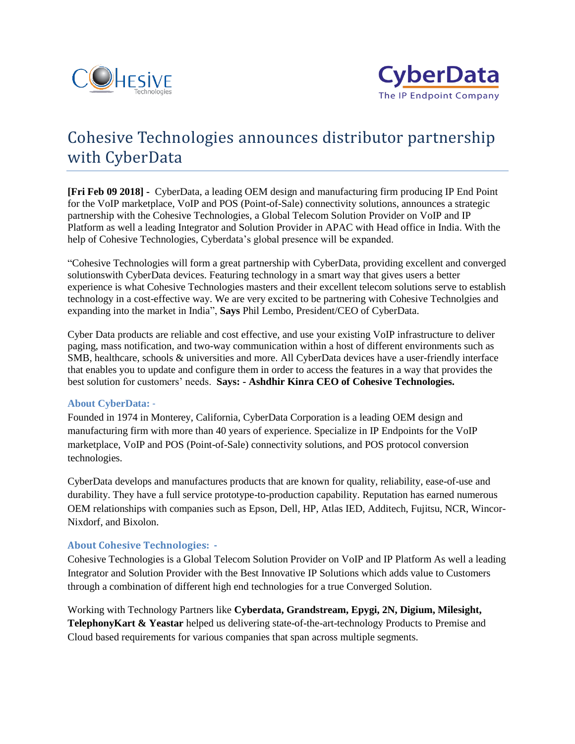



## Cohesive Technologies announces distributor partnership with CyberData

**[Fri Feb 09 2018] -** CyberData, a leading OEM design and manufacturing firm producing IP End Point for the VoIP marketplace, VoIP and POS (Point-of-Sale) connectivity solutions, announces a strategic partnership with the Cohesive Technologies, a Global Telecom Solution Provider on VoIP and IP Platform as well a leading Integrator and Solution Provider in APAC with Head office in India. With the help of Cohesive Technologies, Cyberdata's global presence will be expanded.

"Cohesive Technologies will form a great partnership with CyberData, providing excellent and converged solutionswith CyberData devices. Featuring technology in a smart way that gives users a better experience is what Cohesive Technologies masters and their excellent telecom solutions serve to establish technology in a cost-effective way. We are very excited to be partnering with Cohesive Technolgies and expanding into the market in India", **Says** Phil Lembo, President/CEO of CyberData.

Cyber Data products are reliable and cost effective, and use your existing VoIP infrastructure to deliver paging, mass notification, and two-way communication within a host of different environments such as SMB, healthcare, schools & universities and more. All CyberData devices have a user-friendly interface that enables you to update and configure them in order to access the features in a way that provides the best solution for customers' needs. **Says: - Ashdhir Kinra CEO of Cohesive Technologies.**

## **About CyberData:** -

Founded in 1974 in Monterey, California, CyberData Corporation is a leading OEM design and manufacturing firm with more than 40 years of experience. Specialize in IP Endpoints for the VoIP marketplace, VoIP and POS (Point-of-Sale) connectivity solutions, and POS protocol conversion technologies.

CyberData develops and manufactures products that are known for quality, reliability, ease-of-use and durability. They have a full service prototype-to-production capability. Reputation has earned numerous OEM relationships with companies such as Epson, Dell, HP, Atlas IED, Additech, Fujitsu, NCR, Wincor-Nixdorf, and Bixolon.

## **About Cohesive Technologies: -**

Cohesive Technologies is a Global Telecom Solution Provider on VoIP and IP Platform As well a leading Integrator and Solution Provider with the Best Innovative IP Solutions which adds value to Customers through a combination of different high end technologies for a true Converged Solution.

Working with Technology Partners like **Cyberdata, Grandstream, Epygi, 2N, Digium, Milesight, TelephonyKart & Yeastar** helped us delivering state-of-the-art-technology Products to Premise and Cloud based requirements for various companies that span across multiple segments.